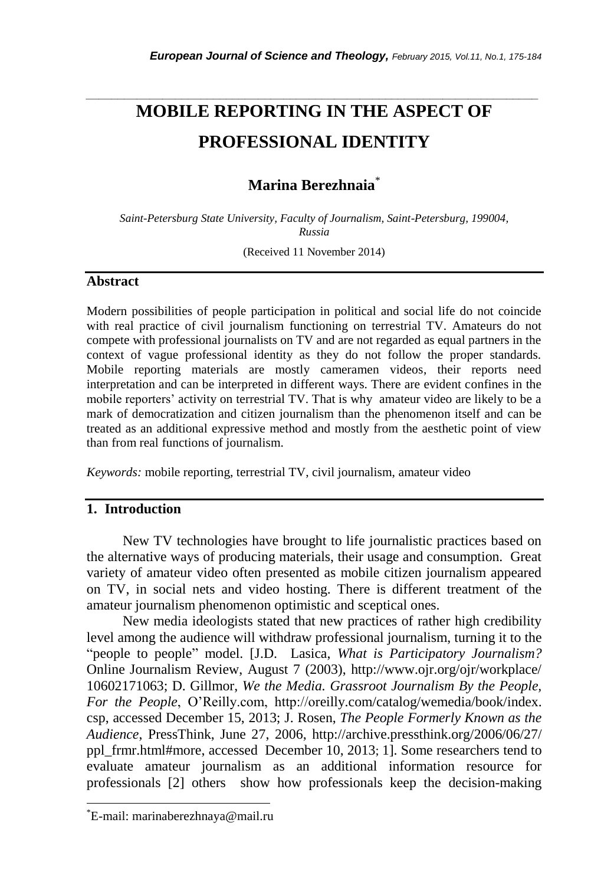# **MOBILE REPORTING IN THE ASPECT OF PROFESSIONAL IDENTITY**

*\_\_\_\_\_\_\_\_\_\_\_\_\_\_\_\_\_\_\_\_\_\_\_\_\_\_\_\_\_\_\_\_\_\_\_\_\_\_\_\_\_\_\_\_\_\_\_\_\_\_\_\_\_\_\_\_\_\_\_\_\_\_\_\_\_\_\_\_\_\_\_*

# **Marina Berezhnaia**\*

*Saint-Petersburg State University, Faculty of Journalism, Saint-Petersburg, 199004, Russia*

(Received 11 November 2014)

#### **Abstract**

Modern possibilities of people participation in political and social life do not coincide with real practice of civil journalism functioning on terrestrial TV. Amateurs do not compete with professional journalists on TV and are not regarded as equal partners in the context of vague professional identity as they do not follow the proper standards. Mobile reporting materials are mostly cameramen videos, their reports need interpretation and can be interpreted in different ways. There are evident confines in the mobile reporters' activity on terrestrial TV. That is why amateur video are likely to be a mark of democratization and citizen journalism than the phenomenon itself and can be treated as an additional expressive method and mostly from the aesthetic point of view than from real functions of journalism.

*Keywords:* mobile reporting, terrestrial TV, civil journalism, amateur video

## **1. Introduction**

New TV technologies have brought to life journalistic practices based on the alternative ways of producing materials, their usage and consumption. Great variety of amateur video often presented as mobile citizen journalism appeared on TV, in social nets and video hosting. There is different treatment of the amateur journalism phenomenon optimistic and sceptical ones.

New media ideologists stated that new practices of rather high credibility level among the audience will withdraw professional journalism, turning it to the "people to people" model. [J.D. Lasica, *[What is Participatory Journalism?](http://www.ojr.org/ojr/workplace/1060217106.php)* Online Journalism Review, August 7 (2003), http://www.ojr.org/ojr/workplace/ 10602171063; D. Gillmor, *We the Media. Grassroot Journalism By the People, For the People*, O"Reilly.com, http://oreilly.com/catalog/wemedia/book/index. csp, accessed December 15, 2013; J. Rosen, *The People Formerly Known as the Audience*, PressThink, June 27, 2006, http://archive.pressthink.org/2006/06/27/ ppl\_frmr.html#more, accessed December 10, 2013; 1]. Some researchers tend to evaluate amateur journalism as an additional information resource for professionals [2] others show how professionals keep the decision-making

l

<sup>\*</sup>E-mail: marinaberezhnaya@mail.ru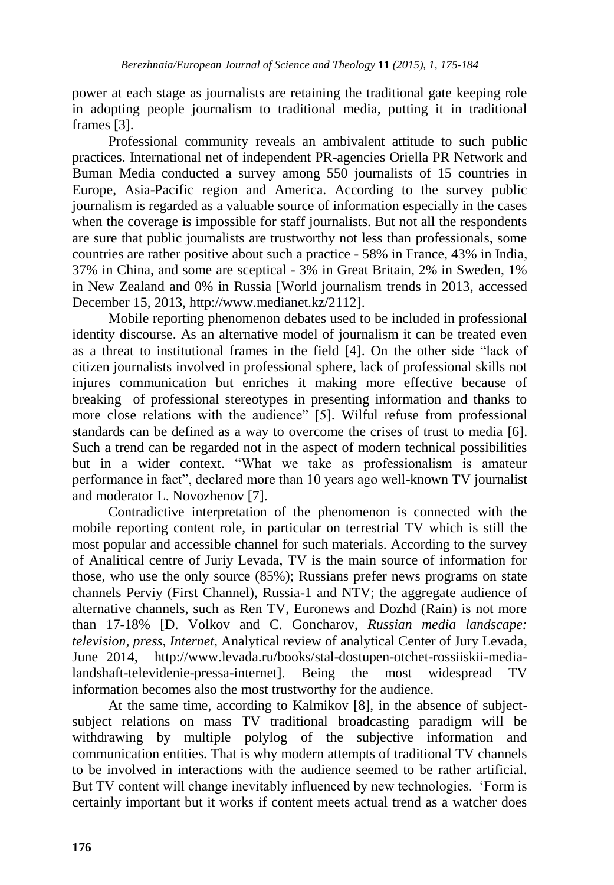power at each stage as journalists are retaining the traditional gate keeping role in adopting people journalism to traditional media, putting it in traditional frames [3].

Professional community reveals an ambivalent attitude to such public practices. International net of independent PR-agencies Oriella PR Network and Buman Media conducted a survey among 550 journalists of 15 countries in Europe, Asia-Pacific region and America. According to the survey public journalism is regarded as a valuable source of information especially in the cases when the coverage is impossible for staff journalists. But not all the respondents are sure that public journalists are trustworthy not less than professionals, some countries are rather positive about such a practice - 58% in France, 43% in India, 37% in China, and some are sceptical - 3% in Great Britain, 2% in Sweden, 1% in New Zealand and 0% in Russia [World journalism trends in 2013, accessed December 15, 2013, [http://www.medianet.kz/2112\]](http://www.medianet.kz/2112).

Mobile reporting phenomenon debates used to be included in professional identity discourse. As an alternative model of journalism it can be treated even as a threat to institutional frames in the field [4]. On the other side "lack of citizen journalists involved in professional sphere, lack of professional skills not injures communication but enriches it making more effective because of breaking of professional stereotypes in presenting information and thanks to more close relations with the audience" [5]. Wilful refuse from professional standards can be defined as a way to overcome the crises of trust to media [6]. Such a trend can be regarded not in the aspect of modern technical possibilities but in a wider context. "What we take as professionalism is amateur performance in fact", declared more than 10 years ago well-known TV journalist and moderator L. Novozhenov [7].

Contradictive interpretation of the phenomenon is connected with the mobile reporting content role, in particular on terrestrial TV which is still the most popular and accessible channel for such materials. According to the survey of Analitical centre of Juriy Levada, TV is the main source of information for those, who use the only source (85%); Russians prefer news programs on state channels Perviy (First Channel), Russia-1 and NTV; the aggregate audience of alternative channels, such as Ren TV, Euronews and Dozhd (Rain) is not more than 17-18% [D. Volkov and C. Goncharov, *Russian media landscape: television, press, Internet*, Analytical review of analytical Center of Jury Levada, June 2014, http://www.levada.ru/books/stal-dostupen-otchet-rossiiskii-medialandshaft-televidenie-pressa-internet]. Being the most widespread TV information becomes also the most trustworthy for the audience.

At the same time, according to Kalmikov [8], in the absence of subjectsubject relations on mass TV traditional broadcasting paradigm will be withdrawing by multiple polylog of the subjective information and communication entities. That is why modern attempts of traditional TV channels to be involved in interactions with the audience seemed to be rather artificial. But TV content will change inevitably influenced by new technologies. "Form is certainly important but it works if content meets actual trend as a watcher does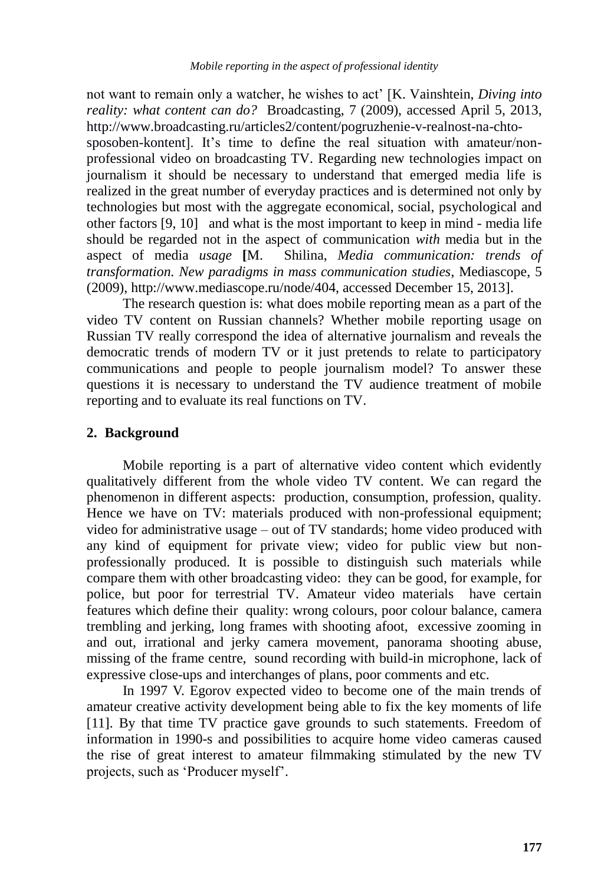not want to remain only a watcher, he wishes to act" [K. Vainshtein, *Diving into reality: what content can do?* Broadcasting, 7 (2009), accessed April 5, 2013, [http://www.broadcasting.ru/articles2/content/pogruzhenie-v-realnost-na-chto](http://www.broadcasting.ru/articles2/content/pogruzhenie-v-realnost-na-chto-sposoben-kontent)[sposoben-kontent\]](http://www.broadcasting.ru/articles2/content/pogruzhenie-v-realnost-na-chto-sposoben-kontent). It's time to define the real situation with amateur/nonprofessional video on broadcasting TV. Regarding new technologies impact on journalism it should be necessary to understand that emerged media life is realized in the great number of everyday practices and is determined not only by technologies but most with the aggregate economical, social, psychological and other factors [9, 10] and what is the most important to keep in mind - media life should be regarded not in the aspect of communication *with* media but in the aspect of media *usage* **[**M.Shilina, *Media communication: trends of transformation. New paradigms in mass communication studies*, Mediascope, 5 (2009), http://www.mediascope.ru/node/404, accessed December 15, 2013].

The research question is: what does mobile reporting mean as a part of the video TV content on Russian channels? Whether mobile reporting usage on Russian TV really correspond the idea of alternative journalism and reveals the democratic trends of modern TV or it just pretends to relate to participatory communications and people to people journalism model? To answer these questions it is necessary to understand the TV audience treatment of mobile reporting and to evaluate its real functions on TV.

#### **2. Background**

Mobile reporting is a part of alternative video content which evidently qualitatively different from the whole video TV content. We can regard the phenomenon in different aspects: production, consumption, profession, quality. Hence we have on TV: materials produced with non-professional equipment; video for administrative usage – out of TV standards; home video produced with any kind of equipment for private view; video for public view but nonprofessionally produced. It is possible to distinguish such materials while compare them with other broadcasting video: they can be good, for example, for police, but poor for terrestrial TV. Amateur video materials have certain features which define their quality: wrong colours, poor colour balance, camera trembling and jerking, long frames with shooting afoot, excessive zooming in and out, irrational and jerky camera movement, panorama shooting abuse, missing of the frame centre, sound recording with build-in microphone, lack of expressive close-ups and interchanges of plans, poor comments and etc.

In 1997 V. Egorov expected video to become one of the main trends of amateur creative activity development being able to fix the key moments of life [11]. By that time TV practice gave grounds to such statements. Freedom of information in 1990-s and possibilities to acquire home video cameras caused the rise of great interest to amateur filmmaking stimulated by the new TV projects, such as "Producer myself".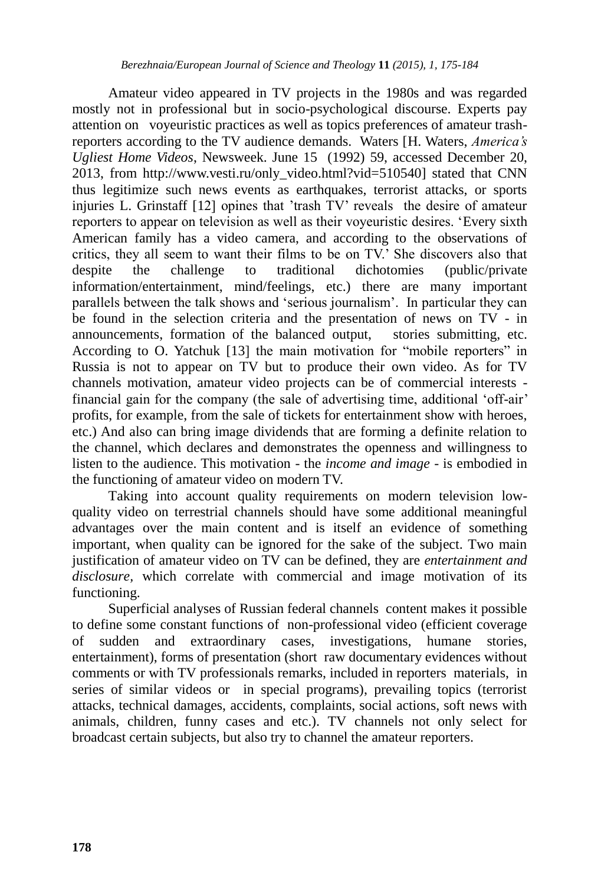Amateur video appeared in TV projects in the 1980s and was regarded mostly not in professional but in socio-psychological discourse. Experts pay attention on voyeuristic practices as well as topics preferences of amateur trashreporters according to the TV audience demands. Waters [H. Waters, *America's Ugliest Home Videos*, Newsweek. June 15 (1992) 59, accessed December 20, 2013, from http://www.vesti.ru/only\_video.html?vid=510540] stated that CNN thus legitimize such news events as earthquakes, terrorist attacks, or sports injuries L. Grinstaff [12] opines that "trash TV" reveals the desire of amateur reporters to appear on television as well as their voyeuristic desires. "Every sixth American family has a video camera, and according to the observations of critics, they all seem to want their films to be on TV." She discovers also that despite the challenge to traditional dichotomies (public/private information/entertainment, mind/feelings, etc.) there are many important parallels between the talk shows and "serious journalism". In particular they can be found in the selection criteria and the presentation of news on TV - in announcements, formation of the balanced output, stories submitting, etc. According to O. Yatchuk [13] the main motivation for "mobile reporters" in Russia is not to appear on TV but to produce their own video. As for TV channels motivation, amateur video projects can be of commercial interests financial gain for the company (the sale of advertising time, additional "off-air" profits, for example, from the sale of tickets for entertainment show with heroes, etc.) And also can bring image dividends that are forming a definite relation to the channel, which declares and demonstrates the openness and willingness to listen to the audience. This motivation - the *income and image* - is embodied in the functioning of amateur video on modern TV.

Taking into account quality requirements on modern television lowquality video on terrestrial channels should have some additional meaningful advantages over the main content and is itself an evidence of something important, when quality can be ignored for the sake of the subject. Two main justification of amateur video on TV can be defined, they are *entertainment and disclosure,* which correlate with commercial and image motivation of its functioning.

Superficial analyses of Russian federal channels content makes it possible to define some constant functions of non-professional video (efficient coverage of sudden and extraordinary cases, investigations, humane stories, entertainment), forms of presentation (short raw documentary evidences without comments or with TV professionals remarks, included in reporters materials, in series of similar videos or in special programs), prevailing topics (terrorist attacks, technical damages, accidents, complaints, social actions, soft news with animals, children, funny cases and etc.). TV channels not only select for broadcast certain subjects, but also try to channel the amateur reporters.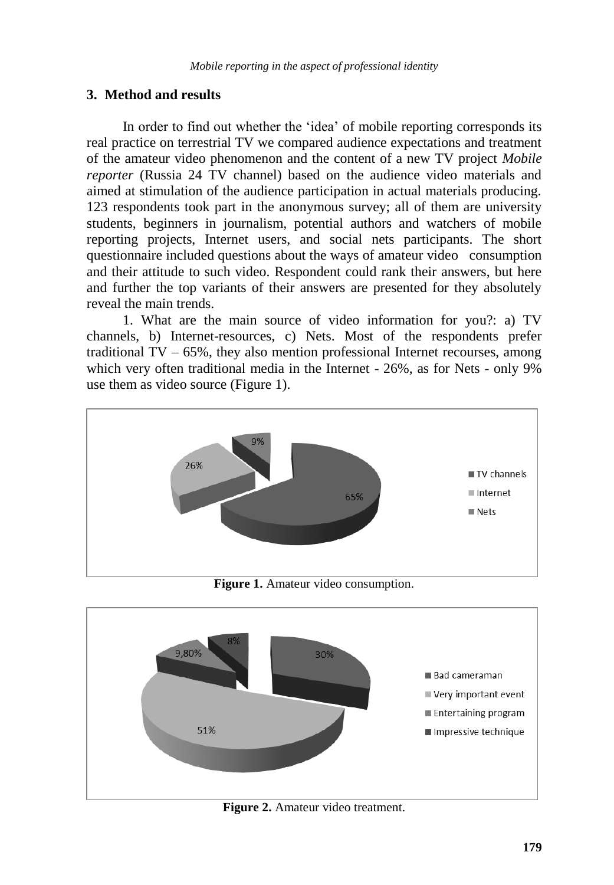### **3. Method and results**

In order to find out whether the 'idea' of mobile reporting corresponds its real practice on terrestrial TV we compared audience expectations and treatment of the amateur video phenomenon and the content of a new TV project *Mobile reporter* (Russia 24 TV channel) based on the audience video materials and aimed at stimulation of the audience participation in actual materials producing. 123 respondents took part in the anonymous survey; all of them are university students, beginners in journalism, potential authors and watchers of mobile reporting projects, Internet users, and social nets participants. The short questionnaire included questions about the ways of amateur video consumption and their attitude to such video. Respondent could rank their answers, but here and further the top variants of their answers are presented for they absolutely reveal the main trends.

1. What are the main source of video information for you?: a) TV channels, b) Internet-resources, c) Nets. Most of the respondents prefer traditional  $TV - 65\%$ , they also mention professional Internet recourses, among which very often traditional media in the Internet - 26%, as for Nets - only 9% use them as video source (Figure 1).



**Figure 1.** Amateur video consumption.



**Figure 2.** Amateur video treatment.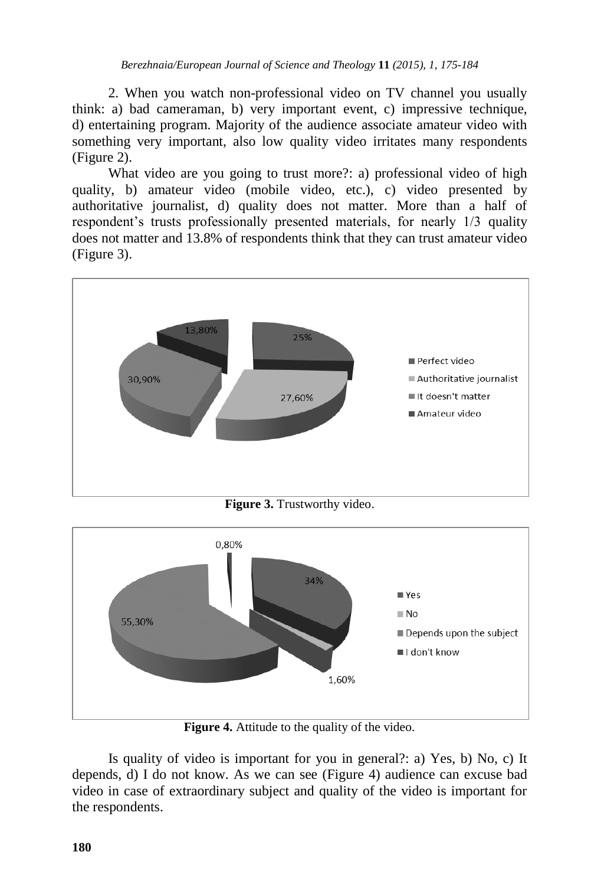2. When you watch non-professional video on TV channel you usually think: a) bad cameraman, b) very important event, c) impressive technique, d) entertaining program. Majority of the audience associate amateur video with something very important, also low quality video irritates many respondents (Figure 2).

What video are you going to trust more?: a) professional video of high quality, b) amateur video (mobile video, etc.), c) video presented by authoritative journalist, d) quality does not matter. More than a half of respondent"s trusts professionally presented materials, for nearly 1/3 quality does not matter and 13.8% of respondents think that they can trust amateur video (Figure 3).



**Figure 3.** Trustworthy video.



**Figure 4.** Attitude to the quality of the video.

Is quality of video is important for you in general?: a) Yes, b) No, c) It depends, d) I do not know. As we can see (Figure 4) audience can excuse bad video in case of extraordinary subject and quality of the video is important for the respondents.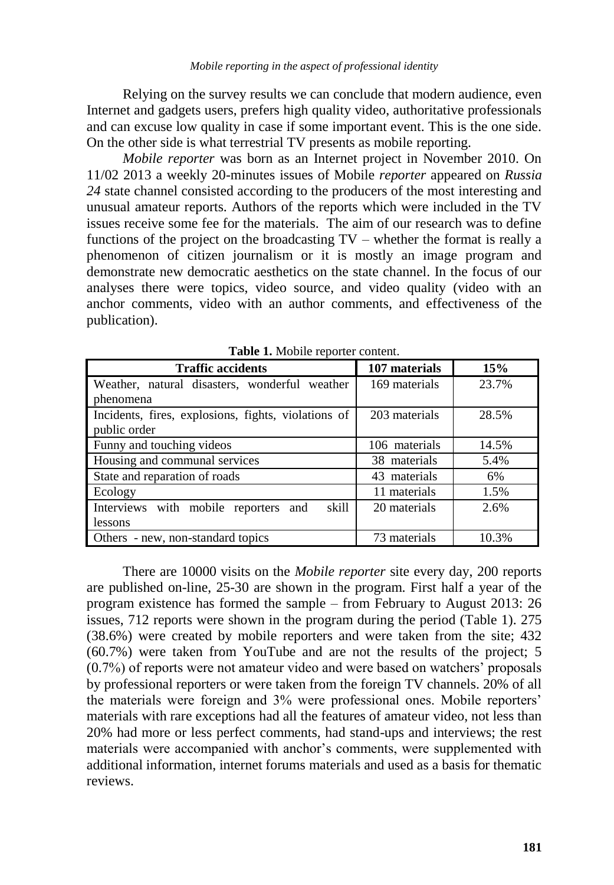Relying on the survey results we can conclude that modern audience, even Internet and gadgets users, prefers high quality video, authoritative professionals and can excuse low quality in case if some important event. This is the one side. On the other side is what terrestrial TV presents as mobile reporting.

*Mobile reporter* was born as an Internet project in November 2010. On 11/02 2013 a weekly 20-minutes issues of Mobile *reporter* appeared on *Russia 24* state channel consisted according to the producers of the most interesting and unusual amateur reports. Authors of the reports which were included in the TV issues receive some fee for the materials. The aim of our research was to define functions of the project on the broadcasting TV – whether the format is really a phenomenon of citizen journalism or it is mostly an image program and demonstrate new democratic aesthetics on the state channel. In the focus of our analyses there were topics, video source, and video quality (video with an anchor comments, video with an author comments, and effectiveness of the publication).

| <b>Traffic accidents</b>                            | 107 materials | 15%   |
|-----------------------------------------------------|---------------|-------|
| Weather, natural disasters, wonderful weather       | 169 materials | 23.7% |
| phenomena                                           |               |       |
| Incidents, fires, explosions, fights, violations of | 203 materials | 28.5% |
| public order                                        |               |       |
| Funny and touching videos                           | 106 materials | 14.5% |
| Housing and communal services                       | 38 materials  | 5.4%  |
| State and reparation of roads                       | 43 materials  | 6%    |
| Ecology                                             | 11 materials  | 1.5%  |
| Interviews with mobile reporters and<br>skill       | 20 materials  | 2.6%  |
| lessons                                             |               |       |
| Others - new, non-standard topics                   | 73 materials  | 10.3% |

**Table 1.** Mobile reporter content.

There are 10000 visits on the *Mobile reporter* site every day, 200 reports are published on-line, 25-30 are shown in the program. First half a year of the program existence has formed the sample – from February to August 2013: 26 issues, 712 reports were shown in the program during the period (Table 1). 275 (38.6%) were created by mobile reporters and were taken from the site; 432 (60.7%) were taken from YouTube and are not the results of the project; 5 (0.7%) of reports were not amateur video and were based on watchers" proposals by professional reporters or were taken from the foreign TV channels. 20% of all the materials were foreign and 3% were professional ones. Mobile reporters" materials with rare exceptions had all the features of amateur video, not less than 20% had more or less perfect comments, had stand-ups and interviews; the rest materials were accompanied with anchor's comments, were supplemented with additional information, internet forums materials and used as a basis for thematic reviews.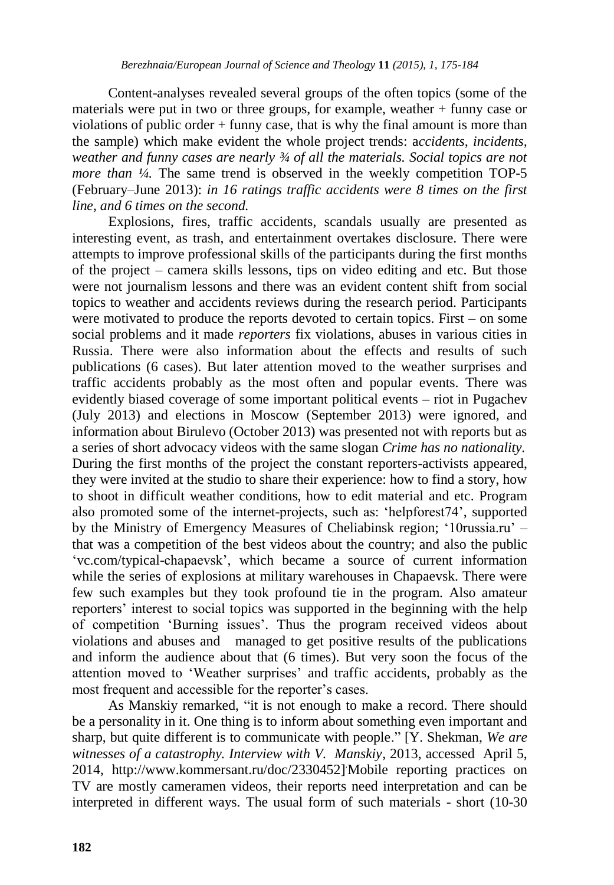Content-analyses revealed several groups of the often topics (some of the materials were put in two or three groups, for example, weather + funny case or violations of public order + funny case, that is why the final amount is more than the sample) which make evident the whole project trends: a*ccidents, incidents, weather and funny cases are nearly ¾ of all the materials. Social topics are not more than <sup>1</sup>/4*. The same trend is observed in the weekly competition TOP-5 (February–June 2013): *in 16 ratings traffic accidents were 8 times on the first line, and 6 times on the second.* 

Explosions, fires, traffic accidents, scandals usually are presented as interesting event, as trash, and entertainment overtakes disclosure. There were attempts to improve professional skills of the participants during the first months of the project – camera skills lessons, tips on video editing and etc. But those were not journalism lessons and there was an evident content shift from social topics to weather and accidents reviews during the research period. Participants were motivated to produce the reports devoted to certain topics. First – on some social problems and it made *reporters* fix violations, abuses in various cities in Russia. There were also information about the effects and results of such publications (6 cases). But later attention moved to the weather surprises and traffic accidents probably as the most often and popular events. There was evidently biased coverage of some important political events – riot in Pugachev (July 2013) and elections in Moscow (September 2013) were ignored, and information about Birulevo (October 2013) was presented not with reports but as a series of short advocacy videos with the same slogan *Crime has no nationality.* During the first months of the project the constant reporters-activists appeared, they were invited at the studio to share their experience: how to find a story, how to shoot in difficult weather conditions, how to edit material and etc. Program also promoted some of the internet-projects, such as: "helpforest74", supported by the Ministry of Emergency Measures of Cheliabinsk region; "10russia.ru" – that was a competition of the best videos about the country; and also the public "vc.com/typical-chapaevsk", which became a source of current information while the series of explosions at military warehouses in Chapaevsk. There were few such examples but they took profound tie in the program. Also amateur reporters" interest to social topics was supported in the beginning with the help of competition "Burning issues". Thus the program received videos about violations and abuses and managed to get positive results of the publications and inform the audience about that (6 times). But very soon the focus of the attention moved to "Weather surprises" and traffic accidents, probably as the most frequent and accessible for the reporter's cases.

As Manskiy remarked, "it is not enough to make a record. There should be a personality in it. One thing is to inform about something even important and sharp, but quite different is to communicate with people." [Y. Shekman, *We are witnesses of a catastrophy. Interview with V. Manskiy*, 2013, accessed April 5, 2014, http://www.kommersant.ru/doc/2330452] .Mobile reporting practices on TV are mostly cameramen videos, their reports need interpretation and can be interpreted in different ways. The usual form of such materials - short (10-30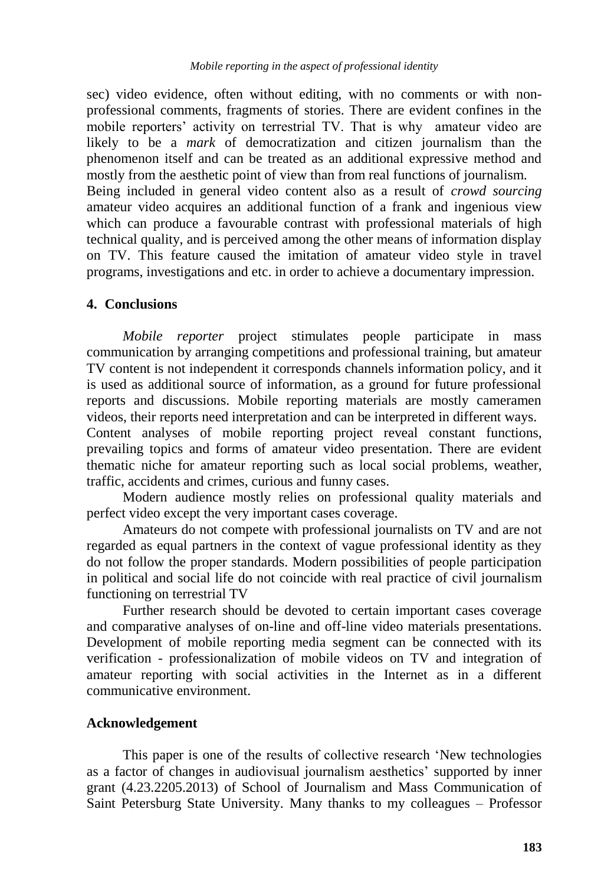sec) video evidence, often without editing, with no comments or with nonprofessional comments, fragments of stories. There are evident confines in the mobile reporters' activity on terrestrial TV. That is why amateur video are likely to be a *mark* of democratization and citizen journalism than the phenomenon itself and can be treated as an additional expressive method and mostly from the aesthetic point of view than from real functions of journalism. Being included in general video content also as a result of *crowd sourcing* amateur video acquires an additional function of a frank and ingenious view which can produce a favourable contrast with professional materials of high technical quality, and is perceived among the other means of information display on TV. This feature caused the imitation of amateur video style in travel

programs, investigations and etc. in order to achieve a documentary impression.

#### **4. Conclusions**

*Mobile reporter* project stimulates people participate in mass communication by arranging competitions and professional training, but amateur TV content is not independent it corresponds channels information policy, and it is used as additional source of information, as a ground for future professional reports and discussions. Mobile reporting materials are mostly cameramen videos, their reports need interpretation and can be interpreted in different ways. Content analyses of mobile reporting project reveal constant functions,

prevailing topics and forms of amateur video presentation. There are evident thematic niche for amateur reporting such as local social problems, weather, traffic, accidents and crimes, curious and funny cases.

Modern audience mostly relies on professional quality materials and perfect video except the very important cases coverage.

Amateurs do not compete with professional journalists on TV and are not regarded as equal partners in the context of vague professional identity as they do not follow the proper standards. Modern possibilities of people participation in political and social life do not coincide with real practice of civil journalism functioning on terrestrial TV

Further research should be devoted to certain important cases coverage and comparative analyses of on-line and off-line video materials presentations. Development of mobile reporting media segment can be connected with its verification - professionalization of mobile videos on TV and integration of amateur reporting with social activities in the Internet as in a different communicative environment.

#### **Acknowledgement**

This paper is one of the results of collective research "New technologies as a factor of changes in audiovisual journalism aesthetics" supported by inner grant (4.23.2205.2013) of School of Journalism and Mass Communication of Saint Petersburg State University. Many thanks to my colleagues – Professor